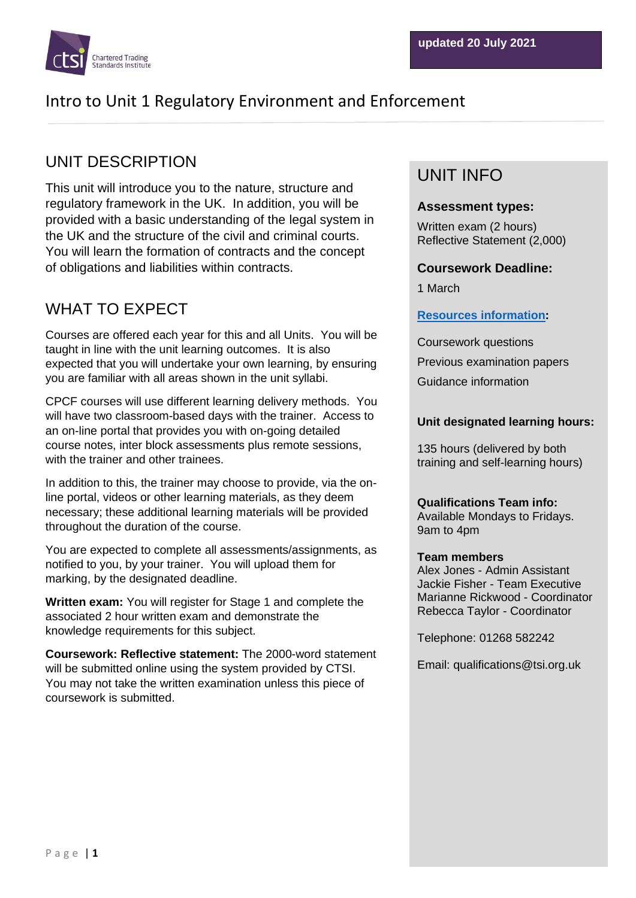

# UNIT DESCRIPTION

This unit will introduce you to the nature, structure and regulatory framework in the UK. In addition, you will be provided with a basic understanding of the legal system in the UK and the structure of the civil and criminal courts. You will learn the formation of contracts and the concept of obligations and liabilities within contracts.

# WHAT TO EXPECT

Courses are offered each year for this and all Units. You will be taught in line with the unit learning outcomes. It is also expected that you will undertake your own learning, by ensuring you are familiar with all areas shown in the unit syllabi.

CPCF courses will use different learning delivery methods. You will have two classroom-based days with the trainer. Access to an on-line portal that provides you with on-going detailed course notes, inter block assessments plus remote sessions, with the trainer and other trainees.

In addition to this, the trainer may choose to provide, via the online portal, videos or other learning materials, as they deem necessary; these additional learning materials will be provided throughout the duration of the course.

You are expected to complete all assessments/assignments, as notified to you, by your trainer. You will upload them for marking, by the designated deadline.

**Written exam:** You will register for Stage 1 and complete the associated 2 hour written exam and demonstrate the knowledge requirements for this subject.

**Coursework: Reflective statement:** The 2000-word statement will be submitted online using the system provided by CTSI. You may not take the written examination unless this piece of coursework is submitted.

## UNIT INFO

### **Assessment types:**

Written exam (2 hours) Reflective Statement (2,000)

### **Coursework Deadline:**

1 March

### **[Resources information:](https://www.tradingstandards.uk/practitioners/training-development/qualifications-resources)**

Coursework questions Previous examination papers Guidance information

### **Unit designated learning hours:**

135 hours (delivered by both training and self-learning hours)

**Qualifications Team info:** Available Mondays to Fridays. 9am to 4pm

#### **Team members**

Alex Jones - Admin Assistant Jackie Fisher - Team Executive Marianne Rickwood - Coordinator Rebecca Taylor - Coordinator

Telephone: 01268 582242

Email: qualifications@tsi.org.uk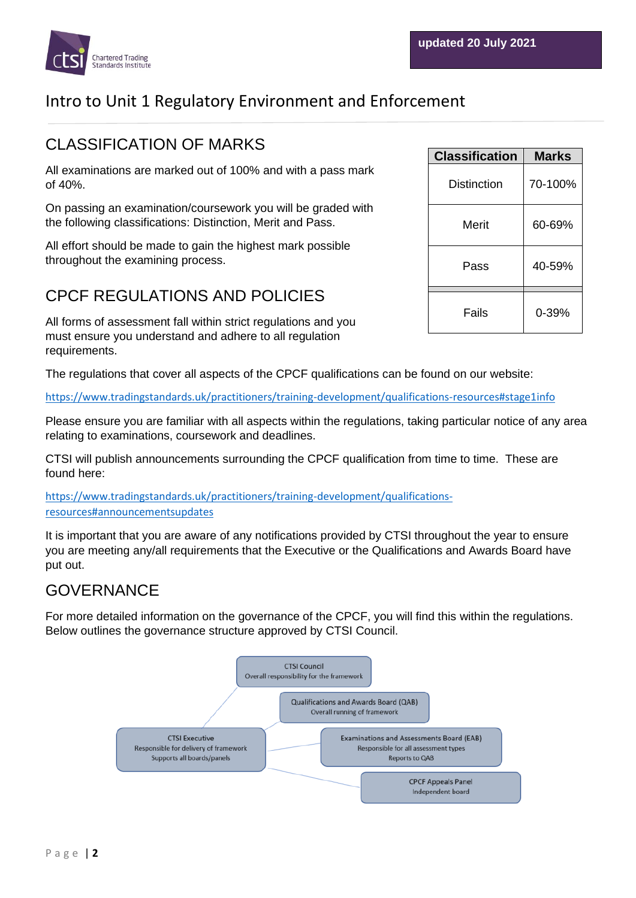

## CLASSIFICATION OF MARKS

All examinations are marked out of 100% and with a pass mark of 40%.

On passing an examination/coursework you will be graded with the following classifications: Distinction, Merit and Pass.

All effort should be made to gain the highest mark possible throughout the examining process.

## CPCF REGULATIONS AND POLICIES

All forms of assessment fall within strict regulations and you must ensure you understand and adhere to all regulation requirements.

The regulations that cover all aspects of the CPCF qualifications can be found on our website:

<https://www.tradingstandards.uk/practitioners/training-development/qualifications-resources#stage1info>

Please ensure you are familiar with all aspects within the regulations, taking particular notice of any area relating to examinations, coursework and deadlines.

CTSI will publish announcements surrounding the CPCF qualification from time to time. These are found here:

[https://www.tradingstandards.uk/practitioners/training-development/qualifications](https://www.tradingstandards.uk/practitioners/training-development/qualifications-resources#announcementsupdates)[resources#announcementsupdates](https://www.tradingstandards.uk/practitioners/training-development/qualifications-resources#announcementsupdates)

It is important that you are aware of any notifications provided by CTSI throughout the year to ensure you are meeting any/all requirements that the Executive or the Qualifications and Awards Board have put out.

## GOVERNANCE

For more detailed information on the governance of the CPCF, you will find this within the regulations. Below outlines the governance structure approved by CTSI Council.



| <b>Classification</b> | Marks   |
|-----------------------|---------|
| Distinction           | 70-100% |
| Merit                 | 60-69%  |
| Pass                  | 40-59%  |
| Fails                 | 0-39%   |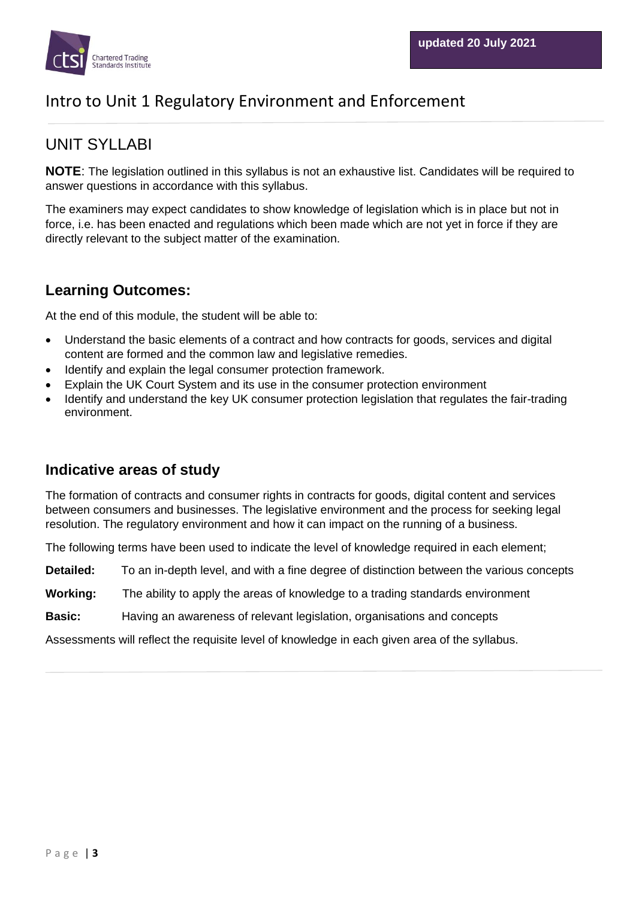

## UNIT SYLLABI

**NOTE**: The legislation outlined in this syllabus is not an exhaustive list. Candidates will be required to answer questions in accordance with this syllabus.

The examiners may expect candidates to show knowledge of legislation which is in place but not in force, i.e. has been enacted and regulations which been made which are not yet in force if they are directly relevant to the subject matter of the examination.

## **Learning Outcomes:**

At the end of this module, the student will be able to:

- Understand the basic elements of a contract and how contracts for goods, services and digital content are formed and the common law and legislative remedies.
- Identify and explain the legal consumer protection framework.
- Explain the UK Court System and its use in the consumer protection environment
- Identify and understand the key UK consumer protection legislation that regulates the fair-trading environment.

### **Indicative areas of study**

The formation of contracts and consumer rights in contracts for goods, digital content and services between consumers and businesses. The legislative environment and the process for seeking legal resolution. The regulatory environment and how it can impact on the running of a business.

The following terms have been used to indicate the level of knowledge required in each element;

**Detailed:** To an in-depth level, and with a fine degree of distinction between the various concepts

**Working:** The ability to apply the areas of knowledge to a trading standards environment

**Basic:** Having an awareness of relevant legislation, organisations and concepts

Assessments will reflect the requisite level of knowledge in each given area of the syllabus.